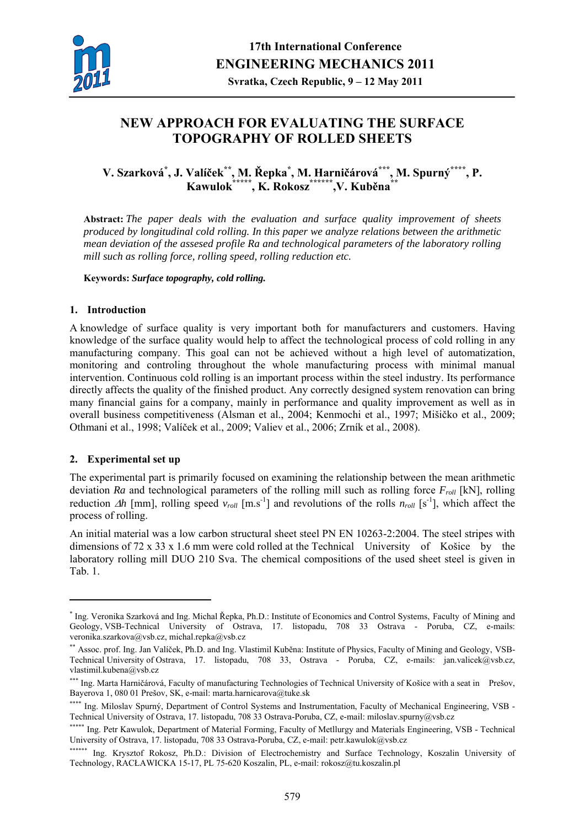

# **NEW APPROACH FOR EVALUATING THE SURFACE TOPOGRAPHY OF ROLLED SHEETS**

**V. Szarková\* , J. Valíček\*\*, M. Řepka\* , M. Harničárová\*\*\*, M. Spurný\*\*\*\*, P. Kawulok\*\*\*\*\*, K. Rokosz\*\*\*\*\*\*,V. Kuběna\*\***

**Abstract:** *The paper deals with the evaluation and surface quality improvement of sheets produced by longitudinal cold rolling. In this paper we analyze relations between the arithmetic mean deviation of the assesed profile Ra and technological parameters of the laboratory rolling mill such as rolling force, rolling speed, rolling reduction etc.*

**Keywords:** *Surface topography, cold rolling.* 

#### **1. Introduction**

A knowledge of surface quality is very important both for manufacturers and customers. Having knowledge of the surface quality would help to affect the technological process of cold rolling in any manufacturing company. This goal can not be achieved without a high level of automatization, monitoring and controling throughout the whole manufacturing process with minimal manual intervention. Continuous cold rolling is an important process within the steel industry. Its performance directly affects the quality of the finished product. Any correctly designed system renovation can bring many financial gains for a company, mainly in performance and quality improvement as well as in overall business competitiveness (Alsman et al., 2004; Kenmochi et al., 1997; Mišičko et al., 2009; Othmani et al., 1998; Valíček et al., 2009; Valiev et al., 2006; Zrník et al., 2008).

## **2. Experimental set up**

1

The experimental part is primarily focused on examining the relationship between the mean arithmetic deviation *Ra* and technological parameters of the rolling mill such as rolling force  $F_{roll}$  [kN], rolling reduction  $\Delta h$  [mm], rolling speed  $v_{roll}$  [m.s<sup>-1</sup>] and revolutions of the rolls  $n_{roll}$  [s<sup>-1</sup>], which affect the process of rolling.

An initial material was a low carbon structural sheet steel PN EN 10263-2:2004. The steel stripes with dimensions of 72 x 33 x 1.6 mm were cold rolled at the Technical University of Košice by the laboratory rolling mill DUO 210 Sva. The chemical compositions of the used sheet steel is given in Tab. 1.

<sup>\*</sup> Ing. Veronika Szarková and Ing. Michal Řepka, Ph.D.: Institute of Economics and Control Systems, Faculty of Mining and Geology, VSB-Technical University of Ostrava, 17. listopadu, 708 33 Ostrava - Poruba, CZ, e-mails: veronika.szarkova@vsb.cz, michal.repka@vsb.cz

<sup>\*\*</sup> Assoc. prof. Ing. Jan Valíček, Ph.D. and Ing. Vlastimil Kuběna: Institute of Physics, Faculty of Mining and Geology, VSB-Technical University of Ostrava, 17. listopadu, 708 33, Ostrava - Poruba, CZ, e-mails: jan.valicek@vsb.cz, vlastimil.kubena@vsb.cz

<sup>\*\*\*</sup> Ing. Marta Harničárová, Faculty of manufacturing Technologies of Technical University of Košice with a seat in Prešov, Bayerova 1, 080 01 Prešov, SK, e-mail: marta.harnicarova@tuke.sk

<sup>\*\*\*\*</sup> Ing. Miloslav Spurný, Department of Control Systems and Instrumentation, Faculty of Mechanical Engineering, VSB -Technical University of Ostrava, 17. listopadu, 708 33 Ostrava-Poruba, CZ, e-mail: miloslav.spurny@vsb.cz

<sup>\*\*\*\*\*</sup> Ing. Petr Kawulok, Department of Material Forming, Faculty of Metllurgy and Materials Engineering, VSB - Technical University of Ostrava, 17. listopadu, 708 33 Ostrava-Poruba, CZ, e-mail: petr.kawulok@vsb.cz

<sup>\*\*\*\*\*\*</sup> Ing. Krysztof Rokosz, Ph.D.: Division of Electrochemistry and Surface Technology, Koszalin University of Technology, RACŁAWICKA 15-17, PL 75-620 Koszalin, PL, e-mail: rokosz@tu.koszalin.pl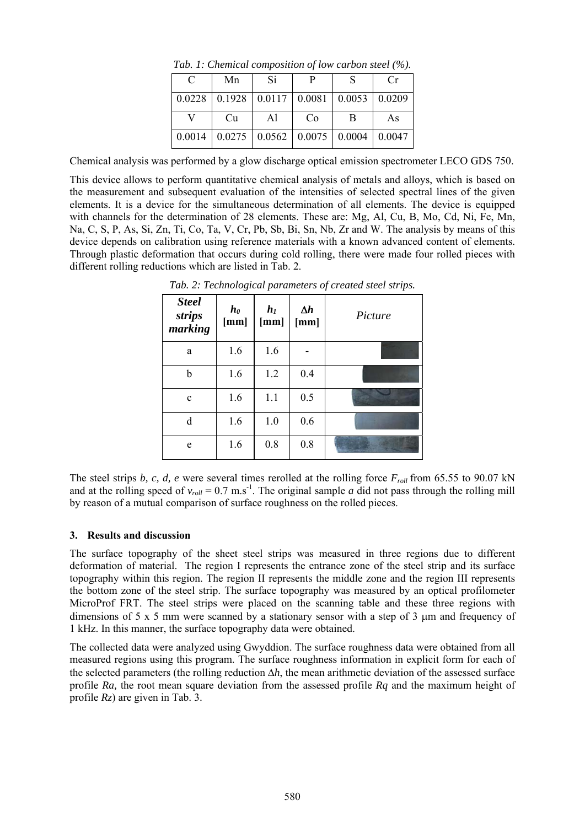|  | C | Mn                                                              | Si | P  |   | $C_{\rm r}$ |  |
|--|---|-----------------------------------------------------------------|----|----|---|-------------|--|
|  |   | $0.0228$   0.1928   0.0117   0.0081   0.0053   0.0209           |    |    |   |             |  |
|  |   | Cu                                                              | Al | Co | В | As          |  |
|  |   | $0.0014$   $0.0275$   $0.0562$   $0.0075$   $0.0004$   $0.0047$ |    |    |   |             |  |

*Tab. 1: Chemical composition of low carbon steel (%).* 

Chemical analysis was performed by a glow discharge optical emission spectrometer LECO GDS 750.

This device allows to perform quantitative chemical analysis of metals and alloys, which is based on the measurement and subsequent evaluation of the intensities of selected spectral lines of the given elements. It is a device for the simultaneous determination of all elements. The device is equipped with channels for the determination of 28 elements. These are: Mg, Al, Cu, B, Mo, Cd, Ni, Fe, Mn, Na, C, S, P, As, Si, Zn, Ti, Co, Ta, V, Cr, Pb, Sb, Bi, Sn, Nb, Zr and W. The analysis by means of this device depends on calibration using reference materials with a known advanced content of elements. Through plastic deformation that occurs during cold rolling, there were made four rolled pieces with different rolling reductions which are listed in Tab. 2.

| <b>Steel</b><br>strips<br>marking | $\boldsymbol{h_0}$<br>[mm] | $h_I$<br>[mm] | $\Delta h$<br>[mm] | Picture |
|-----------------------------------|----------------------------|---------------|--------------------|---------|
| a                                 | 1.6                        | 1.6           |                    |         |
| b                                 | 1.6                        | 1.2           | 0.4                |         |
| $\mathbf{C}$                      | 1.6                        | 1.1           | 0.5                |         |
| d                                 | 1.6                        | 1.0           | 0.6                |         |
| e                                 | 1.6                        | 0.8           | 0.8                |         |

*Tab. 2: Technological parameters of created steel strips.* 

The steel strips *b, c, d, e* were several times rerolled at the rolling force  $F_{roll}$  from 65.55 to 90.07 kN and at the rolling speed of  $v_{roll} = 0.7 \text{ m.s}^{-1}$ . The original sample *a* did not pass through the rolling mill by reason of a mutual comparison of surface roughness on the rolled pieces.

## **3. Results and discussion**

The surface topography of the sheet steel strips was measured in three regions due to different deformation of material. The region I represents the entrance zone of the steel strip and its surface topography within this region. The region II represents the middle zone and the region III represents the bottom zone of the steel strip. The surface topography was measured by an optical profilometer MicroProf FRT. The steel strips were placed on the scanning table and these three regions with dimensions of 5 x 5 mm were scanned by a stationary sensor with a step of 3 μm and frequency of 1 kHz. In this manner, the surface topography data were obtained.

The collected data were analyzed using Gwyddion. The surface roughness data were obtained from all measured regions using this program. The surface roughness information in explicit form for each of the selected parameters (the rolling reduction  $\Delta h$ , the mean arithmetic deviation of the assessed surface profile *Ra,* the root mean square deviation from the assessed profile *Rq* and the maximum height of profile *Rz*) are given in Tab. 3.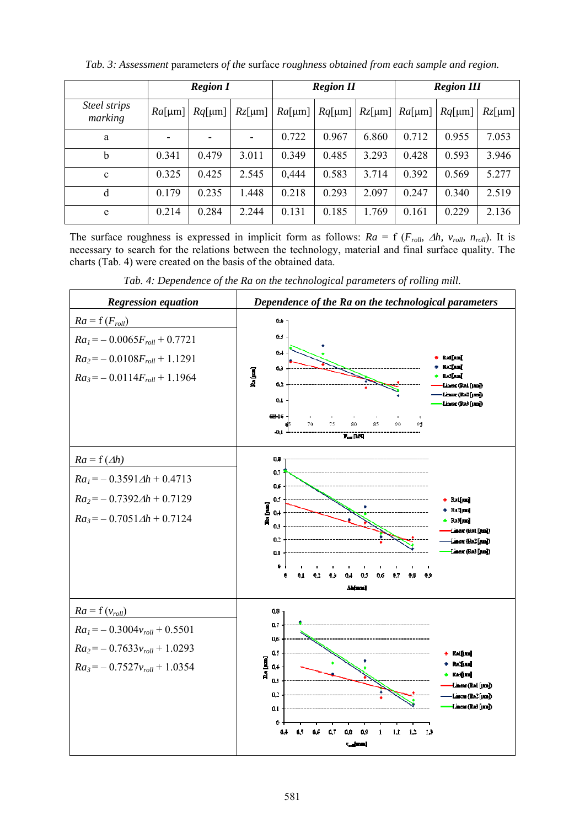|                         | <b>Region I</b> |           |           | <b>Region II</b> |           | <b>Region III</b> |                         |       |           |
|-------------------------|-----------------|-----------|-----------|------------------|-----------|-------------------|-------------------------|-------|-----------|
| Steel strips<br>marking | $Ra[\mu m]$     | $Rq$ [µm] | $Rz$ [µm] | $Ra[\mu m]$      | $Rq$ [µm] | $Rz$ [µm]         | $Ra[\mu m]   Rq[\mu m]$ |       | $Rz$ [µm] |
| a                       |                 |           |           | 0.722            | 0.967     | 6.860             | 0.712                   | 0.955 | 7.053     |
| b                       | 0.341           | 0.479     | 3.011     | 0.349            | 0.485     | 3.293             | 0.428                   | 0.593 | 3.946     |
| $\mathbf{c}$            | 0.325           | 0.425     | 2.545     | 0,444            | 0.583     | 3.714             | 0.392                   | 0.569 | 5.277     |
| d                       | 0.179           | 0.235     | 1.448     | 0.218            | 0.293     | 2.097             | 0.247                   | 0.340 | 2.519     |
| e                       | 0.214           | 0.284     | 2.244     | 0.131            | 0.185     | 1.769             | 0.161                   | 0.229 | 2.136     |

*Tab. 3: Assessment* parameters *of the* surface *roughness obtained from each sample and region.* 

The surface roughness is expressed in implicit form as follows:  $Ra = f(F_{roll}, \Delta h, v_{roll}, n_{roll})$ . It is necessary to search for the relations between the technology, material and final surface quality. The charts (Tab. 4) were created on the basis of the obtained data.

*Tab. 4: Dependence of the Ra on the technological parameters of rolling mill.*